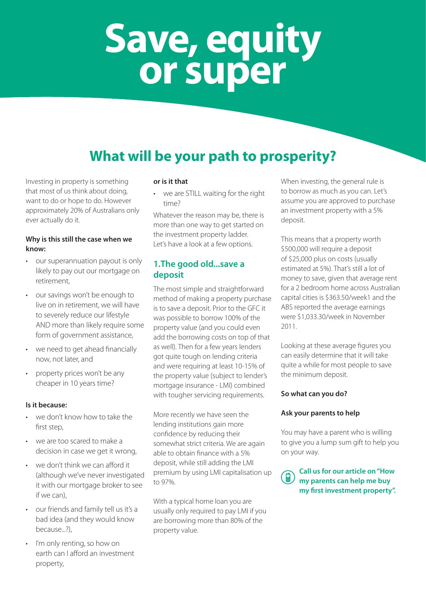# **Save, equity or super**

### **What will be your path to prosperity?**

Investing in property is something that most of us think about doing, want to do or hope to do. However approximately 20% of Australians only ever actually do it.

#### **Why is this still the case when we know:**

- our superannuation payout is only likely to pay out our mortgage on retirement,
- • our savings won't be enough to live on in retirement, we will have to severely reduce our lifestyle AND more than likely require some form of government assistance,
- we need to get ahead financially now, not later, and
- property prices won't be any cheaper in 10 years time?

#### **Is it because:**

- we don't know how to take the first step,
- we are too scared to make a decision in case we get it wrong,
- we don't think we can afford it (although we've never investigated it with our mortgage broker to see if we can),
- • our friends and family tell us it's a bad idea (and they would know because...?),
- I'm only renting, so how on earth can I afford an investment property,

#### **or is it that**

we are STILL waiting for the right time?

Whatever the reason may be, there is more than one way to get started on the investment property ladder. Let's have a look at a few options.

#### **1.The good old...save a deposit**

The most simple and straightforward method of making a property purchase is to save a deposit. Prior to the GFC it was possible to borrow 100% of the property value (and you could even add the borrowing costs on top of that as well). Then for a few years lenders got quite tough on lending criteria and were requiring at least 10-15% of the property value (subject to lender's mortgage insurance - LMI) combined with tougher servicing requirements.

More recently we have seen the lending institutions gain more confidence by reducing their somewhat strict criteria. We are again able to obtain finance with a 5% deposit, while still adding the LMI premium by using LMI capitalisation up to 97%.

With a typical home loan you are usually only required to pay LMI if you are borrowing more than 80% of the property value.

When investing, the general rule is to borrow as much as you can. Let's assume you are approved to purchase an investment property with a 5% deposit.

This means that a property worth \$500,000 will require a deposit of \$25,000 plus on costs (usually estimated at 5%). That's still a lot of money to save, given that average rent for a 2 bedroom home across Australian capital cities is \$363.50/week1 and the ABS reported the average earnings were \$1,033.30/week in November 2011.

Looking at these average figures you can easily determine that it will take quite a while for most people to save the minimum deposit.

#### **So what can you do?**

#### **Ask your parents to help**

You may have a parent who is willing to give you a lump sum gift to help you on your way.

**Call us for our article on "How my parents can help me buy my first investment property".**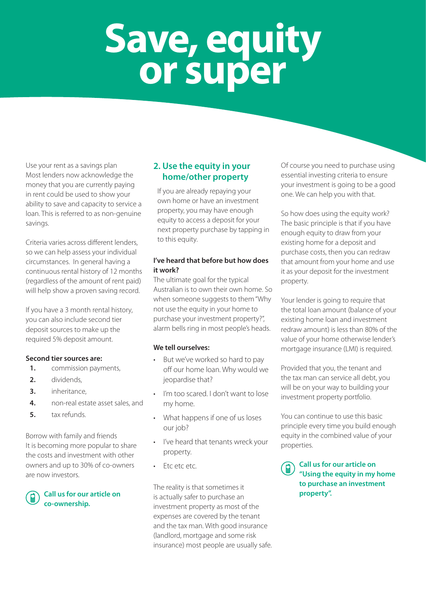# **Save, equity or super**

Use your rent as a savings plan Most lenders now acknowledge the money that you are currently paying in rent could be used to show your ability to save and capacity to service a loan. This is referred to as non-genuine savings.

Criteria varies across different lenders, so we can help assess your individual circumstances. In general having a continuous rental history of 12 months (regardless of the amount of rent paid) will help show a proven saving record.

If you have a 3 month rental history, you can also include second tier deposit sources to make up the required 5% deposit amount.

#### **Second tier sources are:**

- **1.** commission payments,
- **2.** dividends,
- **3.** inheritance,
- **4.** non-real estate asset sales, and
- **5.** tax refunds.

Borrow with family and friends It is becoming more popular to share the costs and investment with other owners and up to 30% of co-owners are now investors.

#### **Call us for our article on co-ownership.**

### **2. Use the equity in your home/other property**

If you are already repaying your own home or have an investment property, you may have enough equity to access a deposit for your next property purchase by tapping in to this equity.

#### **I've heard that before but how does it work?**

The ultimate goal for the typical Australian is to own their own home. So when someone suggests to them "Why not use the equity in your home to purchase your investment property?", alarm bells ring in most people's heads.

#### **We tell ourselves:**

- But we've worked so hard to pay off our home loan. Why would we jeopardise that?
- I'm too scared. I don't want to lose my home.
- What happens if one of us loses our job?
- • I've heard that tenants wreck your property.
- Etc etc etc.

The reality is that sometimes it is actually safer to purchase an investment property as most of the expenses are covered by the tenant and the tax man. With good insurance (landlord, mortgage and some risk insurance) most people are usually safe. Of course you need to purchase using essential investing criteria to ensure your investment is going to be a good one. We can help you with that.

So how does using the equity work? The basic principle is that if you have enough equity to draw from your existing home for a deposit and purchase costs, then you can redraw that amount from your home and use it as your deposit for the investment property.

Your lender is going to require that the total loan amount (balance of your existing home loan and investment redraw amount) is less than 80% of the value of your home otherwise lender's mortgage insurance (LMI) is required.

Provided that you, the tenant and the tax man can service all debt, you will be on your way to building your investment property portfolio.

You can continue to use this basic principle every time you build enough equity in the combined value of your properties.

**Call us for our article on "Using the equity in my home to purchase an investment property".**